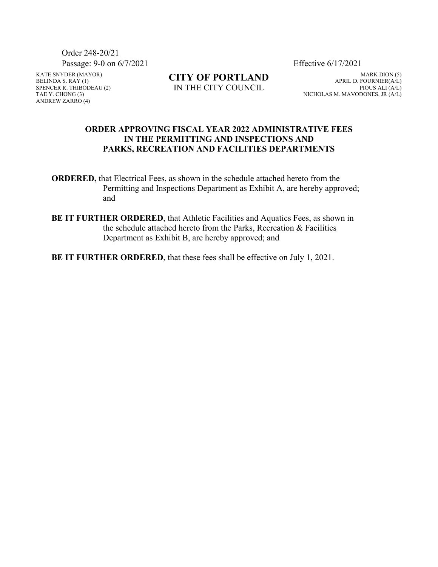Order 248-20/21 Passage: 9-0 on 6/7/2021 Effective 6/17/2021

KATE SNYDER (MAYOR) BELINDA S. RAY (1) SPENCER R. THIBODEAU (2) TAE Y. CHONG (3) ANDREW ZARRO (4)

**CITY OF PORTLAND** IN THE CITY COUNCIL

MARK DION (5) APRIL D. FOURNIER(A/L) PIOUS ALI (A/L) NICHOLAS M. MAVODONES, JR (A/L)

#### **ORDER APPROVING FISCAL YEAR 2022 ADMINISTRATIVE FEES IN THE PERMITTING AND INSPECTIONS AND PARKS, RECREATION AND FACILITIES DEPARTMENTS**

**ORDERED,** that Electrical Fees, as shown in the schedule attached hereto from the Permitting and Inspections Department as Exhibit A, are hereby approved; and

**BE IT FURTHER ORDERED**, that Athletic Facilities and Aquatics Fees, as shown in the schedule attached hereto from the Parks, Recreation & Facilities Department as Exhibit B, are hereby approved; and

**BE IT FURTHER ORDERED**, that these fees shall be effective on July 1, 2021.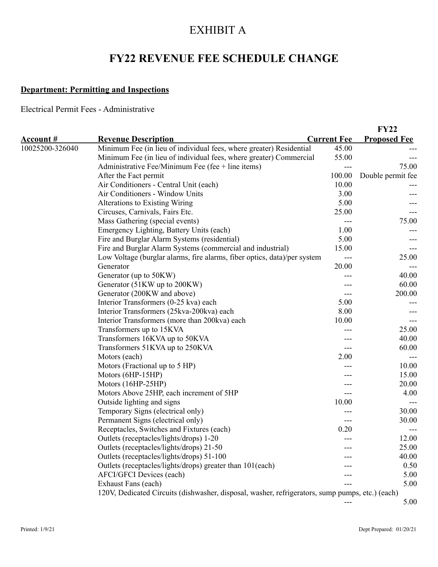# EXHIBIT A

# **FY22 REVENUE FEE SCHEDULE CHANGE**

## **Department: Permitting and Inspections**

Electrical Permit Fees - Administrative

|                  |                                                                                                 |                    | <b>FY22</b>         |
|------------------|-------------------------------------------------------------------------------------------------|--------------------|---------------------|
| <u>Account #</u> | <b>Revenue Description</b>                                                                      | <b>Current Fee</b> | <b>Proposed Fee</b> |
| 10025200-326040  | Minimum Fee (in lieu of individual fees, where greater) Residential                             | 45.00              |                     |
|                  | Minimum Fee (in lieu of individual fees, where greater) Commercial                              | 55.00              |                     |
|                  | Administrative Fee/Minimum Fee (fee $+$ line items)                                             |                    | 75.00               |
|                  | After the Fact permit                                                                           | 100.00             | Double permit fee   |
|                  | Air Conditioners - Central Unit (each)                                                          | 10.00              |                     |
|                  | Air Conditioners - Window Units                                                                 | 3.00               |                     |
|                  | <b>Alterations to Existing Wiring</b>                                                           | 5.00               |                     |
|                  | Circuses, Carnivals, Fairs Etc.                                                                 | 25.00              |                     |
|                  | Mass Gathering (special events)                                                                 |                    | 75.00               |
|                  | Emergency Lighting, Battery Units (each)                                                        | 1.00               |                     |
|                  | Fire and Burglar Alarm Systems (residential)                                                    | 5.00               |                     |
|                  | Fire and Burglar Alarm Systems (commercial and industrial)                                      | 15.00              |                     |
|                  | Low Voltage (burglar alarms, fire alarms, fiber optics, data)/per system                        | $---$              | 25.00               |
|                  | Generator                                                                                       | 20.00              |                     |
|                  | Generator (up to 50KW)                                                                          |                    | 40.00               |
|                  | Generator (51KW up to 200KW)                                                                    |                    | 60.00               |
|                  | Generator (200KW and above)                                                                     |                    | 200.00              |
|                  | Interior Transformers (0-25 kva) each                                                           | 5.00               |                     |
|                  | Interior Transformers (25kva-200kva) each                                                       | 8.00               |                     |
|                  | Interior Transformers (more than 200kva) each                                                   | 10.00              | ---                 |
|                  | Transformers up to 15KVA                                                                        |                    | 25.00               |
|                  | Transformers 16KVA up to 50KVA                                                                  |                    | 40.00               |
|                  | Transformers 51KVA up to 250KVA                                                                 |                    | 60.00               |
|                  | Motors (each)                                                                                   | 2.00               |                     |
|                  | Motors (Fractional up to 5 HP)                                                                  |                    | 10.00               |
|                  | Motors (6HP-15HP)                                                                               |                    | 15.00               |
|                  | Motors (16HP-25HP)                                                                              |                    | 20.00               |
|                  | Motors Above 25HP, each increment of 5HP                                                        |                    | 4.00                |
|                  | Outside lighting and signs                                                                      | 10.00              |                     |
|                  | Temporary Signs (electrical only)                                                               |                    | 30.00               |
|                  | Permanent Signs (electrical only)                                                               |                    | 30.00               |
|                  | Receptacles, Switches and Fixtures (each)                                                       | 0.20               |                     |
|                  | Outlets (receptacles/lights/drops) 1-20                                                         | ---                | 12.00               |
|                  | Outlets (receptacles/lights/drops) 21-50                                                        |                    | 25.00               |
|                  | Outlets (receptacles/lights/drops) 51-100                                                       |                    | 40.00               |
|                  | Outlets (receptacles/lights/drops) greater than 101(each)                                       |                    | 0.50                |
|                  | <b>AFCI/GFCI</b> Devices (each)                                                                 |                    | 5.00                |
|                  | Exhaust Fans (each)                                                                             |                    | 5.00                |
|                  | 120V, Dedicated Circuits (dishwasher, disposal, washer, refrigerators, sump pumps, etc.) (each) |                    |                     |
|                  |                                                                                                 |                    | 5.00                |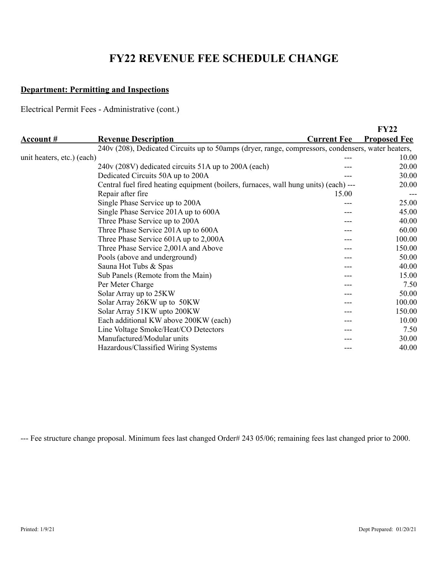# **FY22 REVENUE FEE SCHEDULE CHANGE**

### **Department: Permitting and Inspections**

Electrical Permit Fees - Administrative (cont.)

|                            |                                                                                                    |                    | <b>FY22</b>         |
|----------------------------|----------------------------------------------------------------------------------------------------|--------------------|---------------------|
| <u>Account #</u>           | <b>Revenue Description</b>                                                                         | <b>Current Fee</b> | <b>Proposed Fee</b> |
|                            | 240v (208), Dedicated Circuits up to 50amps (dryer, range, compressors, condensers, water heaters, |                    |                     |
| unit heaters, etc.) (each) |                                                                                                    |                    | 10.00               |
|                            | 240v (208V) dedicated circuits 51A up to 200A (each)                                               |                    | 20.00               |
|                            | Dedicated Circuits 50A up to 200A                                                                  |                    | 30.00               |
|                            | Central fuel fired heating equipment (boilers, furnaces, wall hung units) (each) ---               |                    | 20.00               |
|                            | Repair after fire                                                                                  | 15.00              |                     |
|                            | Single Phase Service up to 200A                                                                    |                    | 25.00               |
|                            | Single Phase Service 201A up to 600A                                                               |                    | 45.00               |
|                            | Three Phase Service up to 200A                                                                     |                    | 40.00               |
|                            | Three Phase Service 201A up to 600A                                                                |                    | 60.00               |
|                            | Three Phase Service 601A up to 2,000A                                                              |                    | 100.00              |
|                            | Three Phase Service 2,001A and Above                                                               |                    | 150.00              |
|                            | Pools (above and underground)                                                                      |                    | 50.00               |
|                            | Sauna Hot Tubs & Spas                                                                              |                    | 40.00               |
|                            | Sub Panels (Remote from the Main)                                                                  |                    | 15.00               |
|                            | Per Meter Charge                                                                                   |                    | 7.50                |
|                            | Solar Array up to 25KW                                                                             |                    | 50.00               |
|                            | Solar Array 26KW up to 50KW                                                                        |                    | 100.00              |
|                            | Solar Array 51KW upto 200KW                                                                        |                    | 150.00              |
|                            | Each additional KW above 200KW (each)                                                              |                    | 10.00               |
|                            | Line Voltage Smoke/Heat/CO Detectors                                                               |                    | 7.50                |
|                            | Manufactured/Modular units                                                                         |                    | 30.00               |
|                            | Hazardous/Classified Wiring Systems                                                                |                    | 40.00               |

--- Fee structure change proposal. Minimum fees last changed Order# 243 05/06; remaining fees last changed prior to 2000.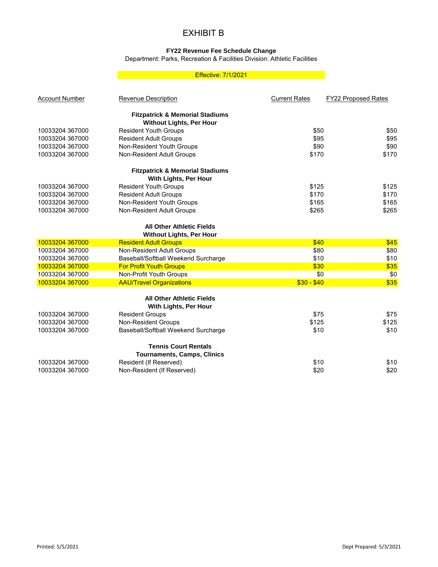## EXHIBIT B

#### **FY22 Revenue Fee Schedule Change**

Department: Parks, Recreation & Facilities Division: Athletic Facilities

#### Effective: 7/1/2021

| <b>Account Number</b> | <b>Revenue Description</b>                 | <b>Current Rates</b> | <b>FY22 Proposed Rates</b> |
|-----------------------|--------------------------------------------|----------------------|----------------------------|
|                       | <b>Fitzpatrick &amp; Memorial Stadiums</b> |                      |                            |
|                       | <b>Without Lights, Per Hour</b>            |                      |                            |
| 10033204 367000       | <b>Resident Youth Groups</b>               | \$50                 | \$50                       |
| 10033204 367000       | <b>Resident Adult Groups</b>               | \$95                 | \$95                       |
| 10033204 367000       | Non-Resident Youth Groups                  | \$90                 | \$90                       |
| 10033204 367000       | Non-Resident Adult Groups                  | \$170                | \$170                      |
|                       | <b>Fitzpatrick &amp; Memorial Stadiums</b> |                      |                            |
|                       | With Lights, Per Hour                      |                      |                            |
| 10033204 367000       | <b>Resident Youth Groups</b>               | \$125                | \$125                      |
| 10033204 367000       | <b>Resident Adult Groups</b>               | \$170                | \$170                      |
| 10033204 367000       | Non-Resident Youth Groups                  | \$165                | \$165                      |
| 10033204 367000       | Non-Resident Adult Groups                  | \$265                | \$265                      |
|                       | <b>All Other Athletic Fields</b>           |                      |                            |
|                       | <b>Without Lights, Per Hour</b>            |                      |                            |
| 10033204 367000       | <b>Resident Adult Groups</b>               | \$40                 | \$45                       |
| 10033204 367000       | Non-Resident Adult Groups                  | \$80                 | \$80                       |
| 10033204 367000       | Baseball/Softball Weekend Surcharge        | \$10                 | \$10                       |
| 10033204 367000       | <b>For Profit Youth Groups</b>             | \$30                 | \$35                       |
| 10033204 367000       | Non-Profit Youth Groups                    | \$0                  | \$0                        |
| 10033204 367000       | <b>AAU/Travel Organizations</b>            | $$30 - $40$          | \$35                       |
|                       | <b>All Other Athletic Fields</b>           |                      |                            |
|                       | With Lights, Per Hour                      |                      |                            |
| 10033204 367000       | <b>Resident Groups</b>                     | \$75                 | \$75                       |
| 10033204 367000       | Non-Resident Groups                        | \$125                | \$125                      |
| 10033204 367000       | Baseball/Softball Weekend Surcharge        | \$10                 | \$10                       |
|                       | <b>Tennis Court Rentals</b>                |                      |                            |
|                       | <b>Tournaments, Camps, Clinics</b>         |                      |                            |
| 10033204 367000       | Resident (If Reserved)                     | \$10                 | \$10                       |
| 10033204 367000       | Non-Resident (If Reserved)                 | \$20                 | \$20                       |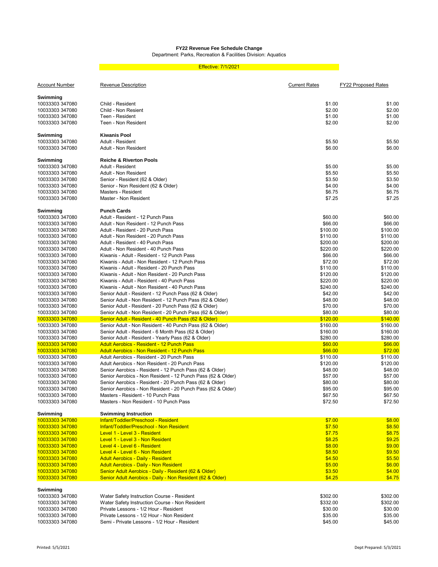### **FY22 Revenue Fee Schedule Change**

Department: Parks, Recreation & Facilities Division: Aquatics

#### Effective: 7/1/2021

| <u>Account Number</u>              | <b>Revenue Description</b>                                                              | <u>Current Rates</u> | <b>FY22 Proposed Rates</b> |
|------------------------------------|-----------------------------------------------------------------------------------------|----------------------|----------------------------|
| Swimming                           |                                                                                         |                      |                            |
| 10033303 347080                    | Child - Resident                                                                        | \$1.00               | \$1.00                     |
| 10033303 347080                    | Child - Non Resient                                                                     | \$2.00               | \$2.00                     |
| 10033303 347080                    | Teen - Resident                                                                         | \$1.00               | \$1.00                     |
| 10033303 347080                    | Teen - Non Resident                                                                     | \$2.00               | \$2.00                     |
| Swimming                           | <b>Kiwanis Pool</b>                                                                     |                      |                            |
| 10033303 347080                    | Adult - Resident                                                                        | \$5.50               | \$5.50                     |
| 10033303 347080                    | Adult - Non Resident                                                                    | \$6.00               | \$6.00                     |
| Swimming                           | <b>Reiche &amp; Riverton Pools</b>                                                      |                      |                            |
| 10033303 347080                    | Adult - Resident                                                                        | \$5.00               | \$5.00                     |
| 10033303 347080                    | Adult - Non Resident                                                                    | \$5.50               | \$5.50                     |
| 10033303 347080                    | Senior - Resident (62 & Older)                                                          | \$3.50               | \$3.50                     |
| 10033303 347080                    | Senior - Non Resident (62 & Older)                                                      | \$4.00               | \$4.00                     |
| 10033303 347080                    | Masters - Resident                                                                      | \$6.75               | \$6.75                     |
| 10033303 347080                    | Master - Non Resident                                                                   | \$7.25               | \$7.25                     |
| Swimming                           | <b>Punch Cards</b>                                                                      |                      |                            |
| 10033303 347080                    | Adult - Resident - 12 Punch Pass                                                        | \$60.00              | \$60.00                    |
| 10033303 347080                    | Adult - Non Resident - 12 Punch Pass                                                    | \$66.00              | \$66.00                    |
| 10033303 347080                    | Adult - Resident - 20 Punch Pass                                                        | \$100.00             | \$100.00                   |
| 10033303 347080                    | Adult - Non Resident - 20 Punch Pass                                                    | \$110.00             | \$110.00                   |
| 10033303 347080                    | Adult - Resident - 40 Punch Pass                                                        | \$200.00             | \$200.00                   |
| 10033303 347080                    | Adult - Non Resident - 40 Punch Pass                                                    | \$220.00             | \$220.00                   |
| 10033303 347080                    | Kiwanis - Adult - Resident - 12 Punch Pass                                              | \$66.00              | \$66.00                    |
| 10033303 347080                    | Kiwanis - Adult - Non Resident - 12 Punch Pass                                          | \$72.00              | \$72.00                    |
| 10033303 347080                    | Kiwanis - Adult - Resident - 20 Punch Pass                                              | \$110.00             | \$110.00                   |
| 10033303 347080                    | Kiwanis - Adult - Non Resident - 20 Punch Pass                                          | \$120.00             | \$120.00                   |
| 10033303 347080                    | Kiwanis - Adult - Resident - 40 Punch Pass                                              | \$220.00             | \$220.00                   |
| 10033303 347080                    | Kiwanis - Adult - Non Resident - 40 Punch Pass                                          | \$240.00             | \$240.00                   |
| 10033303 347080                    | Senior Adult - Resident - 12 Punch Pass (62 & Older)                                    | \$42.00              | \$42.00                    |
| 10033303 347080                    | Senior Adult - Non Resident - 12 Punch Pass (62 & Older)                                | \$48.00              | \$48.00                    |
| 10033303 347080                    | Senior Adult - Resident - 20 Punch Pass (62 & Older)                                    | \$70.00              | \$70.00                    |
| 10033303 347080                    | Senior Adult - Non Resident - 20 Punch Pass (62 & Older)                                | \$80.00              | \$80.00                    |
| 10033303 347080                    | Senior Adult - Resident - 40 Punch Pass (62 & Older)                                    | \$120.00             | \$140.00                   |
| 10033303 347080                    | Senior Adult - Non Resident - 40 Punch Pass (62 & Older)                                | \$160.00             | \$160.00                   |
| 10033303 347080                    | Senior Adult - Resident - 6 Month Pass (62 & Older)                                     | \$160.00             | \$160.00                   |
| 10033303 347080                    | Senior Adult - Resident - Yearly Pass (62 & Older)                                      | \$280.00             | \$280.00                   |
| 10033303 347080                    | <b>Adult Aerobics - Resident - 12 Punch Pass</b>                                        | \$60.00              | \$66.00                    |
| 10033303 347080                    | <b>Adult Aerobics - Non Resident - 12 Punch Pass</b>                                    | \$66.00              | \$72.00                    |
| 10033303 347080                    | Adult Aerobics - Resident - 20 Punch Pass                                               | \$110.00             | \$110.00                   |
| 10033303 347080                    | Adult Aerobics - Non Resident - 20 Punch Pass                                           | \$120.00             | \$120.00                   |
| 10033303 347080                    | Senior Aerobics - Resident - 12 Punch Pass (62 & Older)                                 | \$48.00              | \$48.00                    |
| 10033303 347080                    | Senior Aerobics - Non Resident - 12 Punch Pass (62 & Older)                             | \$57.00              | \$57.00                    |
| 10033303 347080                    | Senior Aerobics - Resident - 20 Punch Pass (62 & Older)                                 | \$80.00              | \$80.00                    |
| 10033303 347080                    | Senior Aerobics - Non Resident - 20 Punch Pass (62 & Older)                             | \$95.00              | \$95.00                    |
| 10033303 347080                    | Masters - Resident - 10 Punch Pass                                                      | \$67.50              | \$67.50                    |
| 10033303 347080                    | Masters - Non Resident - 10 Punch Pass                                                  | \$72.50              | \$72.50                    |
| <b>Swimming</b>                    | <b>Swimming Instruction</b>                                                             |                      |                            |
| 10033303 347080                    | Infant/Toddler/Preschool - Resident                                                     | \$7.00               | \$8.00                     |
| 10033303 347080                    | Infant/Toddler/Preschool - Non Resident                                                 | \$7.50               | \$8.50                     |
| 10033303 347080                    | Level 1 - Level 3 - Resident                                                            | \$7.75               | \$8.75                     |
| 10033303 347080                    | Level 1 - Level 3 - Non Resident                                                        | \$8.25               | \$9.25                     |
| 10033303 347080                    | Level 4 - Level 6 - Resident                                                            | \$8.00               | \$9.00                     |
| 10033303 347080                    | Level 4 - Level 6 - Non Resident                                                        | \$8.50               | \$9.50                     |
| 10033303 347080                    | <b>Adult Aerobics - Daily - Resident</b>                                                | \$4.50               | \$5.50                     |
| 10033303 347080                    | <b>Adult Aerobics - Daily - Non Resident</b>                                            | \$5.00               | \$6.00                     |
| 10033303 347080                    | Senior Adult Aerobics - Daily - Resident (62 & Older)                                   | \$3.50               | \$4.00                     |
| 10033303 347080                    | Senior Adult Aerobics - Daily - Non Resident (62 & Older)                               | \$4.25               | \$4.75                     |
|                                    |                                                                                         |                      |                            |
| Swimming                           |                                                                                         |                      |                            |
| 10033303 347080                    | Water Safety Instruction Course - Resident                                              | \$302.00             | \$302.00                   |
| 10033303 347080                    | Water Safety Instruction Course - Non Resident<br>Private Lessons - 1/2 Hour - Resident | \$332.00             | \$302.00                   |
| 10033303 347080<br>10033303 347080 | Private Lessons - 1/2 Hour - Non Resident                                               | \$30.00<br>\$35.00   | \$30.00<br>\$35.00         |
| 10033303 347080                    | Semi - Private Lessons - 1/2 Hour - Resident                                            | \$45.00              | \$45.00                    |
|                                    |                                                                                         |                      |                            |